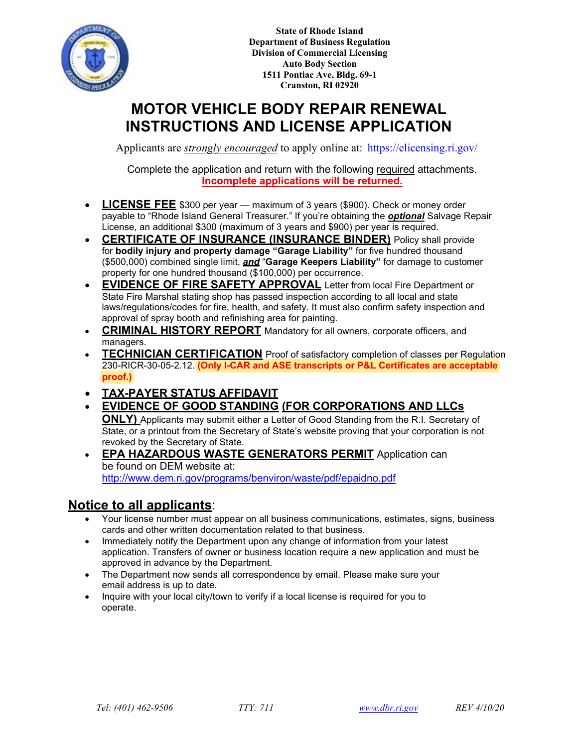

**State of Rhode Island Department of Business Regulation Division of Commercial Licensing Auto Body Section 1511 Pontiac Ave, Bldg. 69-1 Cranston, RI 02920**

# **MOTOR VEHICLE BODY REPAIR RENEWAL INSTRUCTIONS AND LICENSE APPLICATION**

Applicants are *strongly encouraged* to apply online at:<https://elicensing.ri.gov/>

Complete the application and return with the following required attachments. **Incomplete applications will be returned.**

- **LICENSE FEE** \$300 per year maximum of 3 years (\$900). Check or money order payable to "Rhode Island General Treasurer." If you're obtaining the *optional* Salvage Repair License, an additional \$300 (maximum of 3 years and \$900) per year is required.
- **CERTIFICATE OF INSURANCE (INSURANCE BINDER)** Policy shall provide for **bodily injury and property damage "Garage Liability"** for five hundred thousand (\$500,000) combined single limit, *and* "**Garage Keepers Liability"** for damage to customer property for one hundred thousand (\$100,000) per occurrence.
- **EVIDENCE OF FIRE SAFETY APPROVAL** Letter from local Fire Department or State Fire Marshal stating shop has passed inspection according to all local and state laws/regulations/codes for fire, health, and safety. It must also confirm safety inspection and approval of spray booth and refinishing area for painting.
- **CRIMINAL HISTORY REPORT** Mandatory for all owners, corporate officers, and managers.
- **TECHNICIAN CERTIFICATION** Proof of satisfactory completion of classes per Regulation 230-RICR-30-05-2.12. **(Only I-CAR and ASE transcripts or P&L Certificates are acceptable proof.)**
- **TAX-PAYER STATUS AFFIDAVIT**
- **EVIDENCE OF GOOD STANDING (FOR CORPORATIONS AND LLCs**

**ONLY)** Applicants may submit either a Letter of Good Standing from the R.I. Secretary of State, or a printout from the Secretary of State's website proving that your corporation is not revoked by the Secretary of State.

• **EPA HAZARDOUS WASTE GENERATORS PERMIT** Application can [be found on DEM website at:](http://www.dem.ri.gov/programs/benviron/waste/pdf/epaidno.pdf) http://www.dem.ri.gov/programs/benviron/waste/pdf/epaidno.pdf

### **Notice to all applicants**:

- Your license number must appear on all business communications, estimates, signs, business cards and other written documentation related to that business.
- Immediately notify the Department upon any change of information from your latest application. Transfers of owner or business location require a new application and must be approved in advance by the Department.
- The Department now sends all correspondence by email. Please make sure your email address is up to date.
- Inquire with your local city/town to verify if a local license is required for you to operate.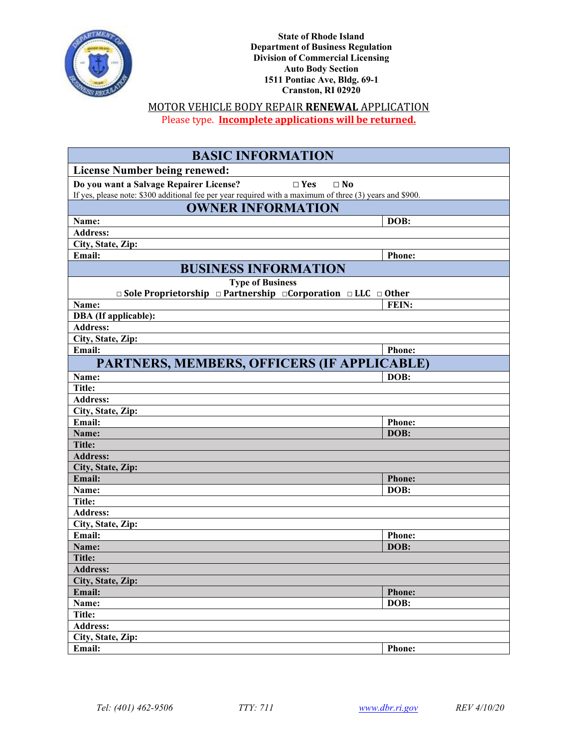

**State of Rhode Island Department of Business Regulation Division of Commercial Licensing Auto Body Section 1511 Pontiac Ave, Bldg. 69-1 Cranston, RI 02920**

#### MOTOR VEHICLE BODY REPAIR **RENEWAL** APPLICATION Please type. **Incomplete applications will be returned.**

| <b>BASIC INFORMATION</b>                                                                                 |               |  |
|----------------------------------------------------------------------------------------------------------|---------------|--|
| <b>License Number being renewed:</b>                                                                     |               |  |
| Do you want a Salvage Repairer License?<br>$\square$ Yes<br>$\Box$ No                                    |               |  |
| If yes, please note: \$300 additional fee per year required with a maximum of three (3) years and \$900. |               |  |
| <b>OWNER INFORMATION</b>                                                                                 |               |  |
| Name:                                                                                                    | DOB:          |  |
| <b>Address:</b>                                                                                          |               |  |
| City, State, Zip:                                                                                        |               |  |
| Email:                                                                                                   | <b>Phone:</b> |  |
| <b>BUSINESS INFORMATION</b>                                                                              |               |  |
| <b>Type of Business</b>                                                                                  |               |  |
| $\Box$ Sole Proprietorship $\Box$ Partnership $\Box$ Corporation $\Box$ LLC $\Box$ Other                 |               |  |
| Name:                                                                                                    | FEIN:         |  |
| DBA (If applicable):                                                                                     |               |  |
| <b>Address:</b>                                                                                          |               |  |
| City, State, Zip:                                                                                        |               |  |
| Email:                                                                                                   | <b>Phone:</b> |  |
| PARTNERS, MEMBERS, OFFICERS (IF APPLICABLE)                                                              |               |  |
| Name:                                                                                                    | DOB:          |  |
| <b>Title:</b>                                                                                            |               |  |
| <b>Address:</b>                                                                                          |               |  |
| City, State, Zip:                                                                                        |               |  |
| Email:                                                                                                   | <b>Phone:</b> |  |
| Name:                                                                                                    | DOB:          |  |
| <b>Title:</b>                                                                                            |               |  |
| <b>Address:</b>                                                                                          |               |  |
| City, State, Zip:                                                                                        |               |  |
| Email:                                                                                                   | <b>Phone:</b> |  |
| Name:                                                                                                    | DOB:          |  |
| Title:                                                                                                   |               |  |
| <b>Address:</b>                                                                                          |               |  |
| City, State, Zip:                                                                                        |               |  |
| Email:                                                                                                   | <b>Phone:</b> |  |
| Name:                                                                                                    | DOB:          |  |
| <b>Title:</b>                                                                                            |               |  |
| <b>Address:</b>                                                                                          |               |  |
| City, State, Zip:                                                                                        |               |  |
| Email:                                                                                                   | <b>Phone:</b> |  |
| Name:                                                                                                    | DOB:          |  |
| <b>Title:</b><br><b>Address:</b>                                                                         |               |  |
| City, State, Zip:                                                                                        |               |  |
|                                                                                                          |               |  |
| Email:                                                                                                   | Phone:        |  |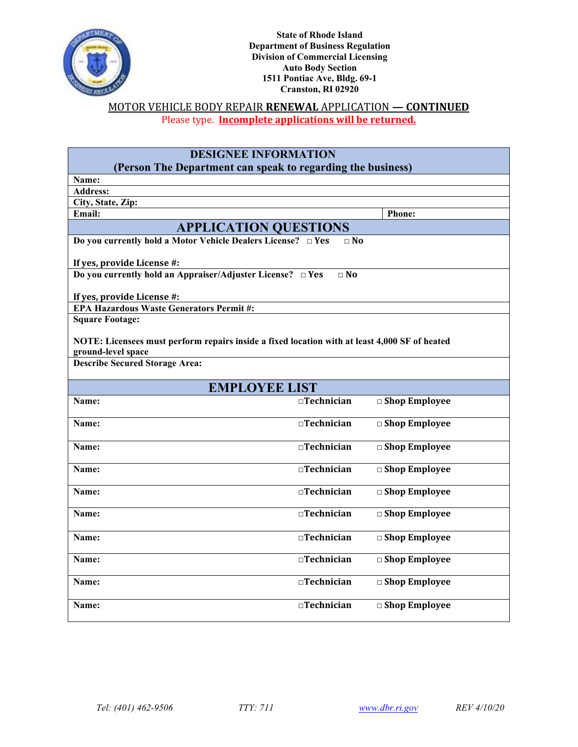

### MOTOR VEHICLE BODY REPAIR **RENEWAL** APPLICATION **— CONTINUED** Please type. **Incomplete applications will be returned.**

| <b>DESIGNEE INFORMATION</b>                                                                   |                   |                         |  |
|-----------------------------------------------------------------------------------------------|-------------------|-------------------------|--|
| (Person The Department can speak to regarding the business)                                   |                   |                         |  |
| Name:                                                                                         |                   |                         |  |
| <b>Address:</b>                                                                               |                   |                         |  |
| City, State, Zip:                                                                             |                   |                         |  |
| Email:                                                                                        |                   | Phone:                  |  |
| <b>APPLICATION QUESTIONS</b>                                                                  |                   |                         |  |
| Do you currently hold a Motor Vehicle Dealers License? □ Yes<br>$\Box$ No                     |                   |                         |  |
|                                                                                               |                   |                         |  |
| If yes, provide License #:                                                                    |                   |                         |  |
| Do you currently hold an Appraiser/Adjuster License? $\Box$ Yes                               | $\Box$ No         |                         |  |
|                                                                                               |                   |                         |  |
| If yes, provide License #:                                                                    |                   |                         |  |
| <b>EPA Hazardous Waste Generators Permit#:</b>                                                |                   |                         |  |
| <b>Square Footage:</b>                                                                        |                   |                         |  |
|                                                                                               |                   |                         |  |
| NOTE: Licensees must perform repairs inside a fixed location with at least 4,000 SF of heated |                   |                         |  |
| ground-level space                                                                            |                   |                         |  |
| <b>Describe Secured Storage Area:</b>                                                         |                   |                         |  |
|                                                                                               |                   |                         |  |
| <b>EMPLOYEE LIST</b>                                                                          |                   |                         |  |
| Name:                                                                                         | $\Box$ Technician | □ Shop Employee         |  |
|                                                                                               |                   |                         |  |
| Name:                                                                                         | $\Box$ Technician | $\Box$ Shop Employee    |  |
|                                                                                               |                   |                         |  |
| Name:                                                                                         | □Technician       | □ Shop Employee         |  |
| Name:                                                                                         | $\Box$ Technician | $\square$ Shop Employee |  |
|                                                                                               |                   |                         |  |
| Name:                                                                                         | □Technician       | $\square$ Shop Employee |  |
|                                                                                               |                   |                         |  |
| Name:                                                                                         | $\Box$ Technician | □ Shop Employee         |  |
|                                                                                               |                   |                         |  |
| Name:                                                                                         | $\Box$ Technician | □ Shop Employee         |  |
|                                                                                               |                   |                         |  |
| Name:                                                                                         | □Technician       | □ Shop Employee         |  |
|                                                                                               |                   |                         |  |
| Name:                                                                                         | $\Box$ Technician | □ Shop Employee         |  |
|                                                                                               |                   |                         |  |
| Name:                                                                                         | $\Box$ Technician | $\Box$ Shop Employee    |  |
|                                                                                               |                   |                         |  |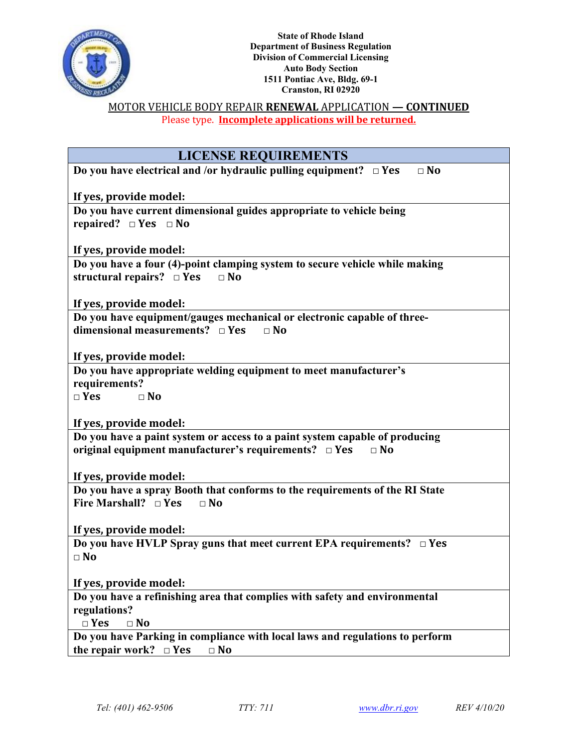

#### MOTOR VEHICLE BODY REPAIR **RENEWAL** APPLICATION **— CONTINUED** Please type. **Incomplete applications will be returned.**

| <b>LICENSE REQUIREMENTS</b>                                                            |  |  |
|----------------------------------------------------------------------------------------|--|--|
| Do you have electrical and /or hydraulic pulling equipment? $\Box$ Yes<br>$\square$ No |  |  |
| If yes, provide model:                                                                 |  |  |
| Do you have current dimensional guides appropriate to vehicle being                    |  |  |
| repaired? $\Box$ Yes $\Box$ No                                                         |  |  |
| If yes, provide model:                                                                 |  |  |
| Do you have a four (4)-point clamping system to secure vehicle while making            |  |  |
| structural repairs? $\square$ Yes<br>$\Box$ No                                         |  |  |
| If yes, provide model:                                                                 |  |  |
| Do you have equipment/gauges mechanical or electronic capable of three-                |  |  |
| dimensional measurements? $\Box$ Yes<br>$\Box$ No                                      |  |  |
|                                                                                        |  |  |
| If yes, provide model:                                                                 |  |  |
| Do you have appropriate welding equipment to meet manufacturer's                       |  |  |
| requirements?<br>$\Box$ Yes<br>$\Box$ No                                               |  |  |
|                                                                                        |  |  |
| If yes, provide model:                                                                 |  |  |
| Do you have a paint system or access to a paint system capable of producing            |  |  |
| original equipment manufacturer's requirements? $\Box$ Yes<br>$\Box$ No                |  |  |
| If yes, provide model:                                                                 |  |  |
| Do you have a spray Booth that conforms to the requirements of the RI State            |  |  |
| Fire Marshall? $\Box$ Yes<br>$\Box$ No                                                 |  |  |
|                                                                                        |  |  |
| If yes, provide model:                                                                 |  |  |
| Do you have HVLP Spray guns that meet current EPA requirements? $\Box$ Yes             |  |  |
| $\Box$ No                                                                              |  |  |
|                                                                                        |  |  |
| If yes, provide model:                                                                 |  |  |
| Do you have a refinishing area that complies with safety and environmental             |  |  |
| regulations?                                                                           |  |  |
| $\square$ Yes<br>$\Box$ No                                                             |  |  |
| Do you have Parking in compliance with local laws and regulations to perform           |  |  |
| the repair work? $\Box$ Yes<br>$\Box$ No                                               |  |  |